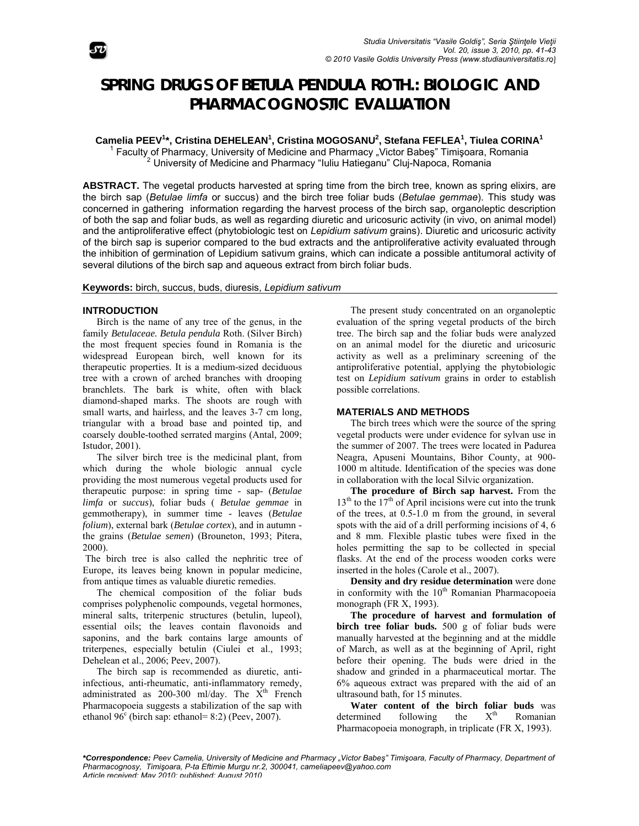

# **SPRING DRUGS OF BETULA PENDULA ROTH.: BIOLOGIC AND** PHARMACOGNOSTIC EVALUATION

Camelia PEEV<sup>1</sup>\*, Cristina DEHELEAN<sup>1</sup>, Cristina MOGOSANU<sup>2</sup>, Stefana FEFLEA<sup>1</sup>, Tiulea CORINA<sup>1</sup>

<sup>1</sup> Faculty of Pharmacy, University of Medicine and Pharmacy "Victor Babes" Timisoara, Romania <sup>2</sup> University of Medicine and Pharmacy "Iuliu Hatieganu" Cluj-Napoca, Romania

ABSTRACT. The vegetal products harvested at spring time from the birch tree, known as spring elixirs, are the birch sap (Betulae limfa or succus) and the birch tree foliar buds (Betulae gemmae). This study was concerned in gathering information regarding the harvest process of the birch sap, organoleptic description of both the sap and foliar buds, as well as regarding diuretic and uricosuric activity (in vivo, on animal model) and the antiproliferative effect (phytobiologic test on Lepidium sativum grains). Diuretic and uricosuric activity of the birch sap is superior compared to the bud extracts and the antiproliferative activity evaluated through the inhibition of germination of Lepidium sativum grains, which can indicate a possible antitumoral activity of several dilutions of the birch sap and aqueous extract from birch foliar buds.

Keywords: birch, succus, buds, diuresis, Lepidium sativum

## **INTRODUCTION**

Birch is the name of any tree of the genus, in the family Betulaceae. Betula pendula Roth. (Silver Birch) the most frequent species found in Romania is the widespread European birch, well known for its therapeutic properties. It is a medium-sized deciduous tree with a crown of arched branches with drooping branchlets. The bark is white, often with black diamond-shaped marks. The shoots are rough with small warts, and hairless, and the leaves 3-7 cm long, triangular with a broad base and pointed tip, and coarsely double-toothed serrated margins (Antal, 2009; Istudor, 2001).

The silver birch tree is the medicinal plant, from which during the whole biologic annual cycle providing the most numerous vegetal products used for therapeutic purpose: in spring time - sap- (Betulae limfa or succus), foliar buds (Betulae gemmae in gemmotherapy), in summer time - leaves (Betulae *folium*), external bark (*Betulae cortex*), and in autumn the grains (Betulae semen) (Brouneton, 1993; Pitera,  $2000$ ).

The birch tree is also called the nephritic tree of Europe, its leaves being known in popular medicine, from antique times as valuable diuretic remedies.

The chemical composition of the foliar buds comprises polyphenolic compounds, vegetal hormones, mineral salts, triterpenic structures (betulin, lupeol), essential oils; the leaves contain flavonoids and saponins, and the bark contains large amounts of triterpenes, especially betulin (Ciulei et al., 1993; Dehelean et al., 2006; Peev, 2007).

The birch sap is recommended as diuretic, antiinfectious, anti-rheumatic, anti-inflammatory remedy, administrated as 200-300 ml/day. The X<sup>th</sup> French Pharmacopoeia suggests a stabilization of the sap with ethanol 96<sup>c</sup> (birch sap: ethanol= 8:2) (Peev, 2007).

The present study concentrated on an organoleptic evaluation of the spring vegetal products of the birch tree. The birch sap and the foliar buds were analyzed on an animal model for the diuretic and uricosuric activity as well as a preliminary screening of the antiproliferative potential, applying the phytobiologic test on Lepidium sativum grains in order to establish possible correlations.

### **MATERIALS AND METHODS**

The birch trees which were the source of the spring vegetal products were under evidence for sylvan use in the summer of 2007. The trees were located in Padurea Neagra, Apuseni Mountains, Bihor County, at 900-1000 m altitude. Identification of the species was done in collaboration with the local Silvic organization.

The procedure of Birch sap harvest. From the  $13<sup>th</sup>$  to the  $17<sup>th</sup>$  of April incisions were cut into the trunk of the trees, at 0.5-1.0 m from the ground, in several spots with the aid of a drill performing incisions of 4, 6 and 8 mm. Flexible plastic tubes were fixed in the holes permitting the sap to be collected in special flasks. At the end of the process wooden corks were inserted in the holes (Carole et al., 2007).

Density and dry residue determination were done in conformity with the 10<sup>th</sup> Romanian Pharmacopoeia monograph (FR X, 1993).

The procedure of harvest and formulation of birch tree foliar buds. 500 g of foliar buds were manually harvested at the beginning and at the middle of March, as well as at the beginning of April, right before their opening. The buds were dried in the shadow and grinded in a pharmaceutical mortar. The 6% aqueous extract was prepared with the aid of an ultrasound bath, for 15 minutes.

Water content of the birch foliar buds was  $X^{th}$ the determined following Romanian Pharmacopoeia monograph, in triplicate (FR X, 1993).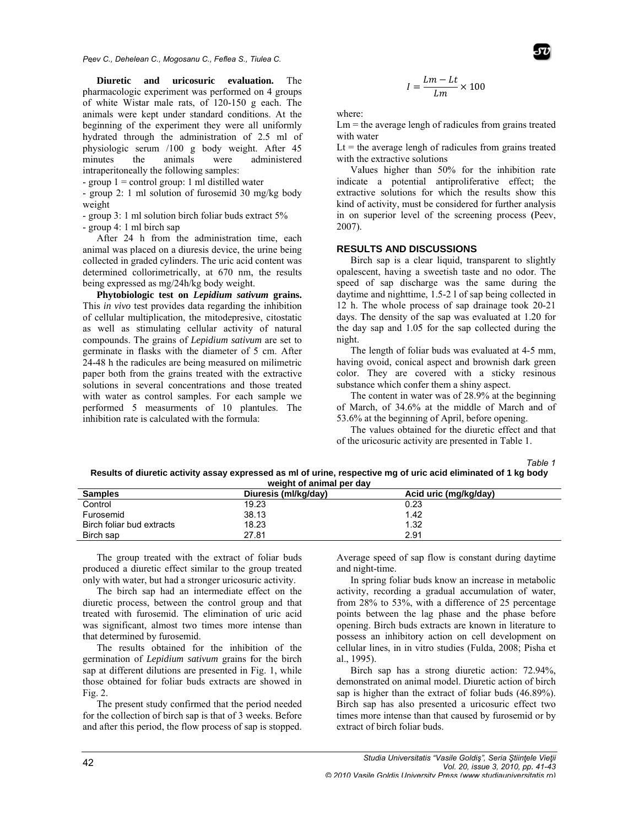*Peev C., Dehelean C., Mogosanu C., Feflea S., Tiulea C.* 

pharmacologic experiment was performed on 4 groups of white Wistar male rats, of 120-150 g each. The animals were kept under standard conditions. At the beginning of the experiment they were all uniformly hydrated through the administration of 2.5 ml of physiologic serum /100 g body weight. After 45 m minutes th intraperitoneally the following samples: **Diuretic** and uricosuric evaluation. The he animals were administered

- group  $1 =$  control group: 1 ml distilled water

- group 2: 1 ml solution of furosemid 30 mg/kg body w weight

- group 3: 1 ml solution birch foliar buds extract 5%

- group 4: 1 ml birch sap

animal was placed on a diuresis device, the urine being collected in graded cylinders. The uric acid content was determined collorimetrically, at 670 nm, the results being expressed as mg/24h/kg body weight. After 24 h from the administration time, each

This *in vivo* test provides data regarding the inhibition of cellular multiplication, the mitodepresive, citostatic as well as stimulating cellular activity of natural compounds. The grains of *Lepidium sativum* are set to g germinate in f flasks with the e diameter of 5 cm. After 24-48 h the radicules are being measured on milimetric paper both from the grains treated with the extractive with water as control samples. For each sample we performed 5 measurments of 10 plantules. The inhibition rate is calculated with the formula: Phytobiologic test on *Lepidium sativum* grains. solutions in several concentrations and those treated

$$
I = \frac{Lm - Lt}{Lm} \times 100
$$

where:

 $Lm$  = the average lengh of radicules from grains treated with w ater

Lt  $=$  the average lengh of radicules from grains treated with the extractive solutions

Values higher than 50% for the inhibition rate indicate a potential antiproliferative effect; the extractive solutions for which the results show this kind of activity, must be considered for further analysis in on superior level of the screening process (Peev, 2007).

#### **RESULTS AND DISCUSSIONS**

Birch sap is a clear liquid, transparent to slightly opalescent, having a sweetish taste and no odor. The speed of sap discharge was the same during the daytime and nighttime, 1.5-2 l of sap being collected in 12 h. The whole process of sap drainage took 20-21 days. The density of the sap was evaluated at 1.20 for the day sap and 1.05 for the sap collected during the night.

The length of foliar buds was evaluated at 4-5 mm, having ovoid, conical aspect and brownish dark green color. They are covered with a sticky resinous substance which confer them a shiny aspect.

The content in water was of 28.9% at the beginning of March, of 34.6% at the middle of March and of 53.6% at the beginnin ng of April, be fore opening.

The values obtained for the diuretic effect and that of the uricosuric activity are presented in Table 1.

*Ta Table 1* 

Results of diuretic activity assay expressed as ml of urine, respective mg of uric acid eliminated of 1 kg body **weight of animal per da ay** 

| <b>Samples</b>            | Diuresis (ml/kg/dav) | Acid uric (mg/kg/day) |
|---------------------------|----------------------|-----------------------|
| Control                   | 19.23                | 0.23                  |
| Furosemid                 | 38.13                | 1.42                  |
| Birch foliar bud extracts | 18.23                | 1.32                  |
| Birch sap                 | 27.81                | 2.91                  |

produced a diuretic effect similar to the group treated only with water, but had a stronger uricosuric activity. The group treated with the extract of foliar buds

diuretic process, between the control group and that treated with furosemid. The elimination of uric acid was significant, almost two times more intense than that determined by furosemid. The birch sap had an intermediate effect on the

germination of *Lepidium sativum* grains for the birch those obtained for foliar buds extracts are showed in F Fig. 2. The results obtained for the inhibition of the sap at different dilutions are presented in Fig. 1, while

for the collection of birch sap is that of 3 weeks. Before and after this period, the flow process of sap is stopped. The present study confirmed that the period needed Average speed of sap flow is constant during daytime and nig ght-time.

In spring foliar buds know an increase in metabolic activity, recording a gradual accumulation of water, from 28% to 53%, with a difference of 25 percentage points between the lag phase and the phase before opening. Birch buds extracts are known in literature to possess an inhibitory action on cell development on cellular lines, in in vitro studies (Fulda, 2008; Pisha et al., 199 95).

Birch sap has a strong diuretic action: 72.94%, demonstrated on animal model. Diuretic action of birch sap is higher than the extract of foliar buds (46.89%). Birch sap has also presented a uricosuric effect two times more intense than that caused by furosemid or by extract of birch foliar buds.